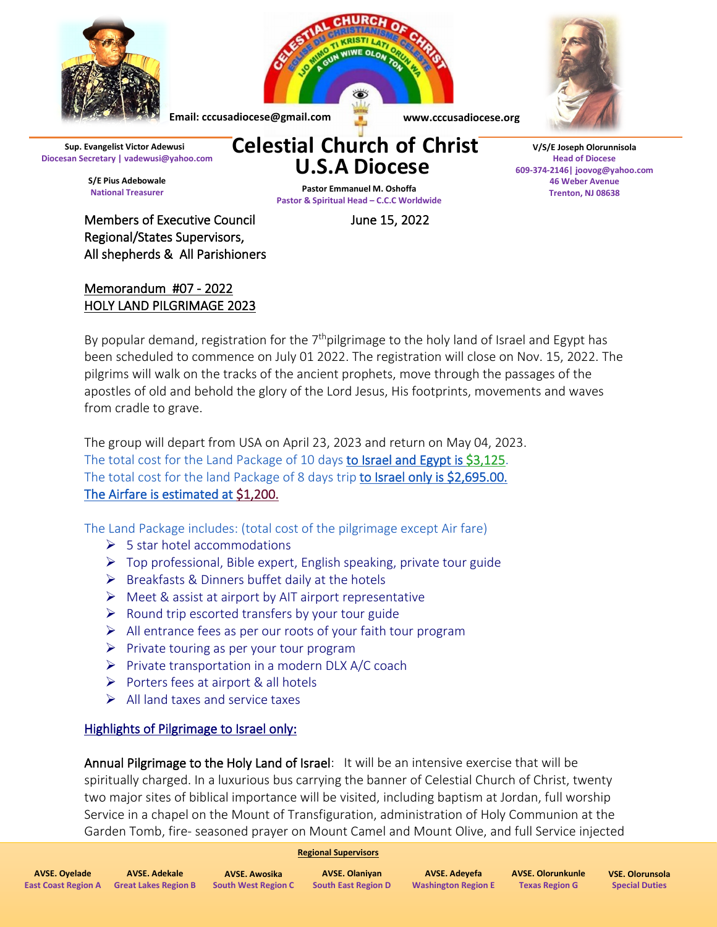

Members of Executive Council **Fig. 1988** June 15, 2022 Regional/States Supervisors, All shepherds & All Parishioners

## Memorandum #07 - 2022 HOLY LAND PILGRIMAGE 2023

By popular demand, registration for the 7<sup>th</sup>pilgrimage to the holy land of Israel and Egypt has been scheduled to commence on July 01 2022. The registration will close on Nov. 15, 2022. The pilgrims will walk on the tracks of the ancient prophets, move through the passages of the apostles of old and behold the glory of the Lord Jesus, His footprints, movements and waves from cradle to grave.

The group will depart from USA on April 23, 2023 and return on May 04, 2023. The total cost for the Land Package of 10 days to Israel and Egypt is \$3,125. The total cost for the land Package of 8 days trip to Israel only is \$2,695.00. The Airfare is estimated at \$1,200.

The Land Package includes: (total cost of the pilgrimage except Air fare)

- $\triangleright$  5 star hotel accommodations
- $\triangleright$  Top professional, Bible expert, English speaking, private tour guide
- $\triangleright$  Breakfasts & Dinners buffet daily at the hotels
- $\triangleright$  Meet & assist at airport by AIT airport representative
- $\triangleright$  Round trip escorted transfers by your tour guide
- $\triangleright$  All entrance fees as per our roots of your faith tour program
- $\triangleright$  Private touring as per your tour program
- $\triangleright$  Private transportation in a modern DLX A/C coach
- $\triangleright$  Porters fees at airport & all hotels
- $\triangleright$  All land taxes and service taxes

## Highlights of Pilgrimage to Israel only:

Annual Pilgrimage to the Holy Land of Israel: It will be an intensive exercise that will be spiritually charged. In a luxurious bus carrying the banner of Celestial Church of Christ, twenty two major sites of biblical importance will be visited, including baptism at Jordan, full worship Service in a chapel on the Mount of Transfiguration, administration of Holy Communion at the Garden Tomb, fire- seasoned prayer on Mount Camel and Mount Olive, and full Service injected

## **Regional Supervisors**

| <b>AVSE, Ovelade</b>       | AVSE. Adekale               | AVSE. Awosika              | <b>AVSE. Olaniyan</b>      | AVSE. Adevefa              | AVSE. Olorunkunle     | <b>VSE. Olorunsola</b> |
|----------------------------|-----------------------------|----------------------------|----------------------------|----------------------------|-----------------------|------------------------|
| <b>East Coast Region A</b> | <b>Great Lakes Region B</b> | <b>South West Region C</b> | <b>South East Region D</b> | <b>Washington Region E</b> | <b>Texas Region G</b> | <b>Special Duties</b>  |